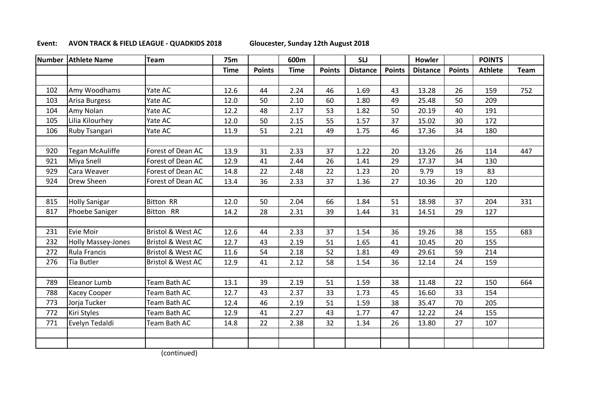## **Event: AVON TRACK & FIELD LEAGUE - QUADKIDS 2018 Gloucester, Sunday 12th August 2018**

| <b>Number</b> | <b>Athlete Name</b>       | <b>Team</b>                  | <b>75m</b>  |               | 600m        |               | <b>SLJ</b>      |               | <b>Howler</b>   |               | <b>POINTS</b>  |      |
|---------------|---------------------------|------------------------------|-------------|---------------|-------------|---------------|-----------------|---------------|-----------------|---------------|----------------|------|
|               |                           |                              | <b>Time</b> | <b>Points</b> | <b>Time</b> | <b>Points</b> | <b>Distance</b> | <b>Points</b> | <b>Distance</b> | <b>Points</b> | <b>Athlete</b> | Team |
|               |                           |                              |             |               |             |               |                 |               |                 |               |                |      |
| 102           | Amy Woodhams              | Yate AC                      | 12.6        | 44            | 2.24        | 46            | 1.69            | 43            | 13.28           | 26            | 159            | 752  |
| 103           | Arisa Burgess             | Yate AC                      | 12.0        | 50            | 2.10        | 60            | 1.80            | 49            | 25.48           | 50            | 209            |      |
| 104           | Amy Nolan                 | Yate AC                      | 12.2        | 48            | 2.17        | 53            | 1.82            | 50            | 20.19           | 40            | 191            |      |
| 105           | Lilia Kilourhey           | Yate AC                      | 12.0        | 50            | 2.15        | 55            | 1.57            | 37            | 15.02           | 30            | 172            |      |
| 106           | <b>Ruby Tsangari</b>      | Yate AC                      | 11.9        | 51            | 2.21        | 49            | 1.75            | 46            | 17.36           | 34            | 180            |      |
|               |                           |                              |             |               |             |               |                 |               |                 |               |                |      |
| 920           | <b>Tegan McAuliffe</b>    | Forest of Dean AC            | 13.9        | 31            | 2.33        | 37            | 1.22            | 20            | 13.26           | 26            | 114            | 447  |
| 921           | Miya Snell                | Forest of Dean AC            | 12.9        | 41            | 2.44        | 26            | 1.41            | 29            | 17.37           | 34            | 130            |      |
| 929           | Cara Weaver               | Forest of Dean AC            | 14.8        | 22            | 2.48        | 22            | 1.23            | 20            | 9.79            | 19            | 83             |      |
| 924           | <b>Drew Sheen</b>         | Forest of Dean AC            | 13.4        | 36            | 2.33        | 37            | 1.36            | 27            | 10.36           | 20            | 120            |      |
|               |                           |                              |             |               |             |               |                 |               |                 |               |                |      |
| 815           | <b>Holly Sanigar</b>      | <b>Bitton RR</b>             | 12.0        | 50            | 2.04        | 66            | 1.84            | 51            | 18.98           | 37            | 204            | 331  |
| 817           | Phoebe Saniger            | Bitton RR                    | 14.2        | 28            | 2.31        | 39            | 1.44            | 31            | 14.51           | 29            | 127            |      |
|               |                           |                              |             |               |             |               |                 |               |                 |               |                |      |
| 231           | Evie Moir                 | <b>Bristol &amp; West AC</b> | 12.6        | 44            | 2.33        | 37            | 1.54            | 36            | 19.26           | 38            | 155            | 683  |
| 232           | <b>Holly Massey-Jones</b> | <b>Bristol &amp; West AC</b> | 12.7        | 43            | 2.19        | 51            | 1.65            | 41            | 10.45           | 20            | 155            |      |
| 272           | <b>Rula Francis</b>       | <b>Bristol &amp; West AC</b> | 11.6        | 54            | 2.18        | 52            | 1.81            | 49            | 29.61           | 59            | 214            |      |
| 276           | <b>Tia Butler</b>         | <b>Bristol &amp; West AC</b> | 12.9        | 41            | 2.12        | 58            | 1.54            | 36            | 12.14           | 24            | 159            |      |
|               |                           |                              |             |               |             |               |                 |               |                 |               |                |      |
| 789           | Eleanor Lumb              | Team Bath AC                 | 13.1        | 39            | 2.19        | 51            | 1.59            | 38            | 11.48           | 22            | 150            | 664  |
| 788           | Kacey Cooper              | Team Bath AC                 | 12.7        | 43            | 2.37        | 33            | 1.73            | 45            | 16.60           | 33            | 154            |      |
| 773           | Jorja Tucker              | Team Bath AC                 | 12.4        | 46            | 2.19        | 51            | 1.59            | 38            | 35.47           | 70            | 205            |      |
| 772           | Kiri Styles               | Team Bath AC                 | 12.9        | 41            | 2.27        | 43            | 1.77            | 47            | 12.22           | 24            | 155            |      |
| 771           | Evelyn Tedaldi            | Team Bath AC                 | 14.8        | 22            | 2.38        | 32            | 1.34            | 26            | 13.80           | 27            | 107            |      |
|               |                           |                              |             |               |             |               |                 |               |                 |               |                |      |
|               |                           |                              |             |               |             |               |                 |               |                 |               |                |      |

(continued)